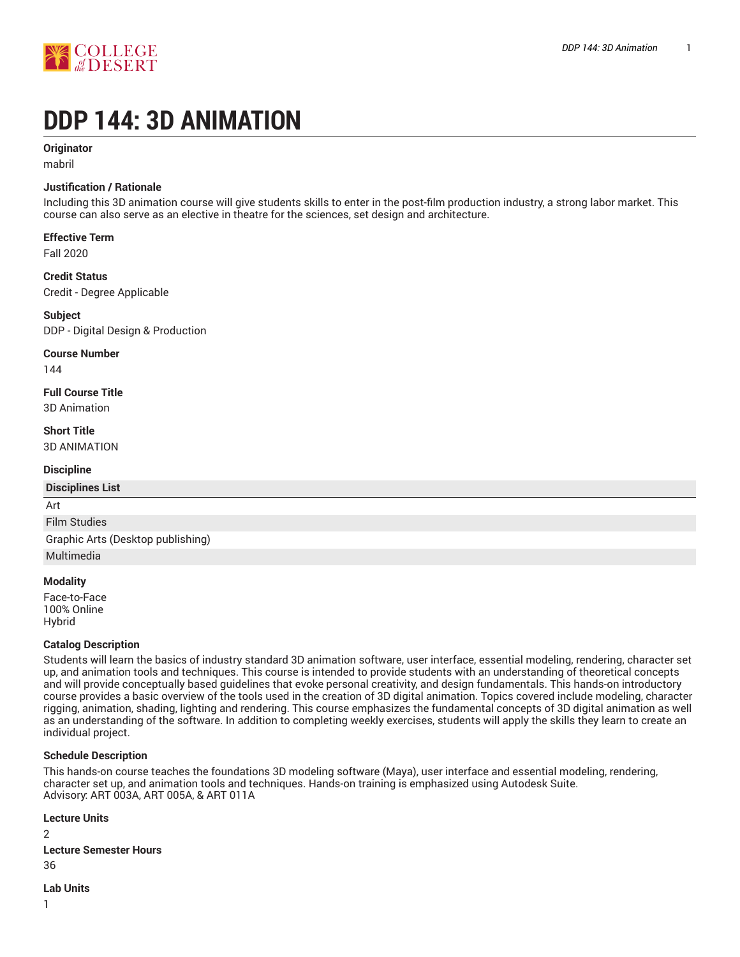

# **DDP 144: 3D ANIMATION**

### **Originator**

mabril

### **Justification / Rationale**

Including this 3D animation course will give students skills to enter in the post-film production industry, a strong labor market. This course can also serve as an elective in theatre for the sciences, set design and architecture.

### **Effective Term**

Fall 2020

### **Credit Status** Credit - Degree Applicable

**Subject** DDP - Digital Design & Production

### **Course Number**

144

# **Full Course Title**

3D Animation

### **Short Title**

3D ANIMATION

### **Discipline**

# **Disciplines List** Art Film Studies

Graphic Arts (Desktop publishing) Multimedia

### **Modality**

Face-to-Face 100% Online Hybrid

### **Catalog Description**

Students will learn the basics of industry standard 3D animation software, user interface, essential modeling, rendering, character set up, and animation tools and techniques. This course is intended to provide students with an understanding of theoretical concepts and will provide conceptually based guidelines that evoke personal creativity, and design fundamentals. This hands-on introductory course provides a basic overview of the tools used in the creation of 3D digital animation. Topics covered include modeling, character rigging, animation, shading, lighting and rendering. This course emphasizes the fundamental concepts of 3D digital animation as well as an understanding of the software. In addition to completing weekly exercises, students will apply the skills they learn to create an individual project.

### **Schedule Description**

This hands-on course teaches the foundations 3D modeling software (Maya), user interface and essential modeling, rendering, character set up, and animation tools and techniques. Hands-on training is emphasized using Autodesk Suite. Advisory: ART 003A, ART 005A, & ART 011A

### **Lecture Units**

2

**Lecture Semester Hours** 36

# **Lab Units**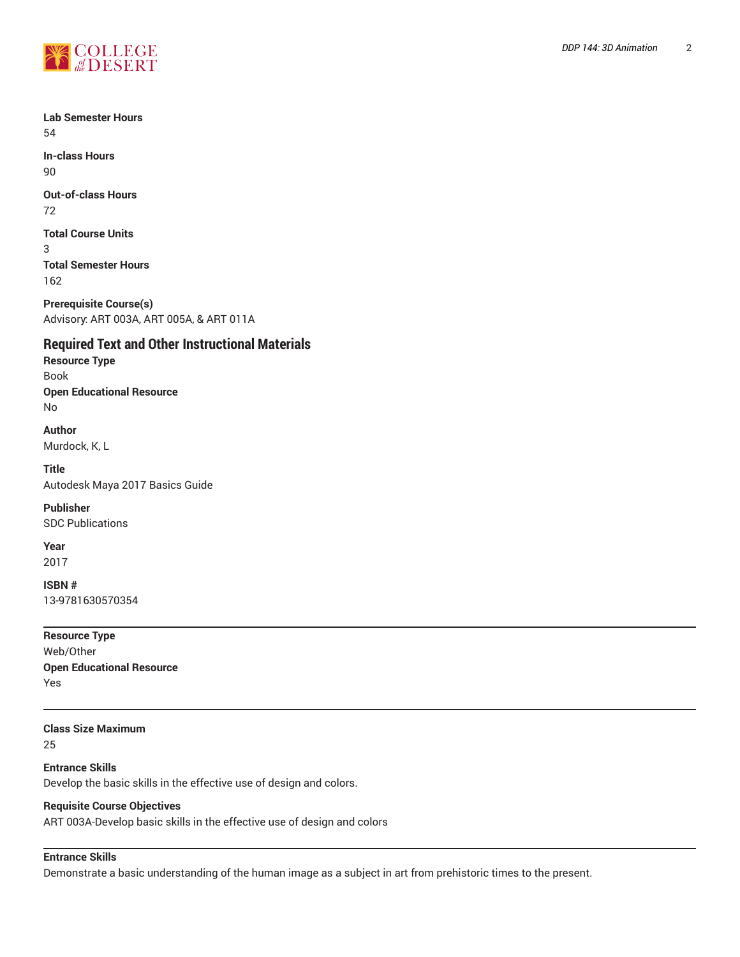

**Lab Semester Hours** 54

**In-class Hours** 90

**Out-of-class Hours** 72

**Total Course Units** 3 **Total Semester Hours**

162

**Prerequisite Course(s)** Advisory: ART 003A, ART 005A, & ART 011A

# **Required Text and Other Instructional Materials**

**Resource Type** Book **Open Educational Resource** No

**Author** Murdock, K, L

**Title** Autodesk Maya 2017 Basics Guide

**Publisher** SDC Publications

**Year**

2017

**ISBN #** 13-9781630570354

**Resource Type** Web/Other **Open Educational Resource** Yes

**Class Size Maximum** 25

**Entrance Skills** Develop the basic skills in the effective use of design and colors.

### **Requisite Course Objectives**

ART 003A-Develop basic skills in the effective use of design and colors

# **Entrance Skills**

Demonstrate a basic understanding of the human image as a subject in art from prehistoric times to the present.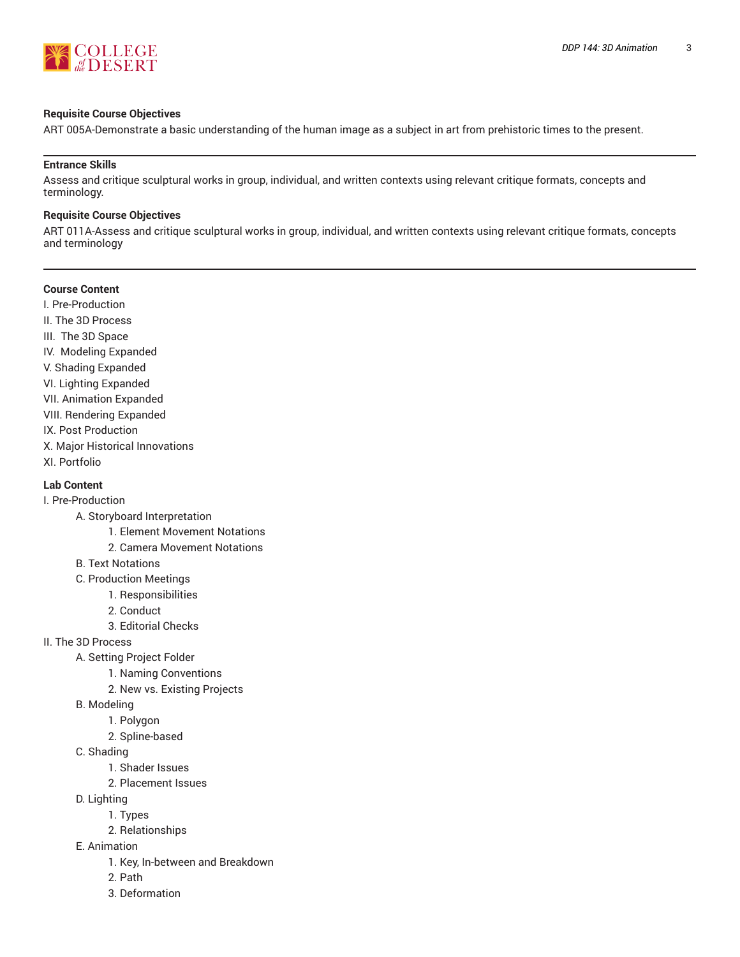

#### **Requisite Course Objectives**

ART 005A-Demonstrate a basic understanding of the human image as a subject in art from prehistoric times to the present.

### **Entrance Skills**

Assess and critique sculptural works in group, individual, and written contexts using relevant critique formats, concepts and terminology.

#### **Requisite Course Objectives**

ART 011A-Assess and critique sculptural works in group, individual, and written contexts using relevant critique formats, concepts and terminology

|  | <b>Course Content</b> |
|--|-----------------------|
|--|-----------------------|

I. Pre-Production II. The 3D Process III. The 3D Space IV. Modeling Expanded V. Shading Expanded VI. Lighting Expanded VII. Animation Expanded VIII. Rendering Expanded IX. Post Production X. Major Historical Innovations XI. Portfolio

# **Lab Content**

I. Pre-Production

- A. Storyboard Interpretation
	- 1. Element Movement Notations
	- 2. Camera Movement Notations
- B. Text Notations
- C. Production Meetings
	- 1. Responsibilities
	- 2. Conduct
	- 3. Editorial Checks
- II. The 3D Process
	- A. Setting Project Folder
		- 1. Naming Conventions
			- 2. New vs. Existing Projects
	- B. Modeling
		- 1. Polygon
		- 2. Spline-based
	- C. Shading
		- 1. Shader Issues
		- 2. Placement Issues
	- D. Lighting
		- 1. Types
			- 2. Relationships
	- E. Animation
		- 1. Key, In-between and Breakdown
		- 2. Path
		- 3. Deformation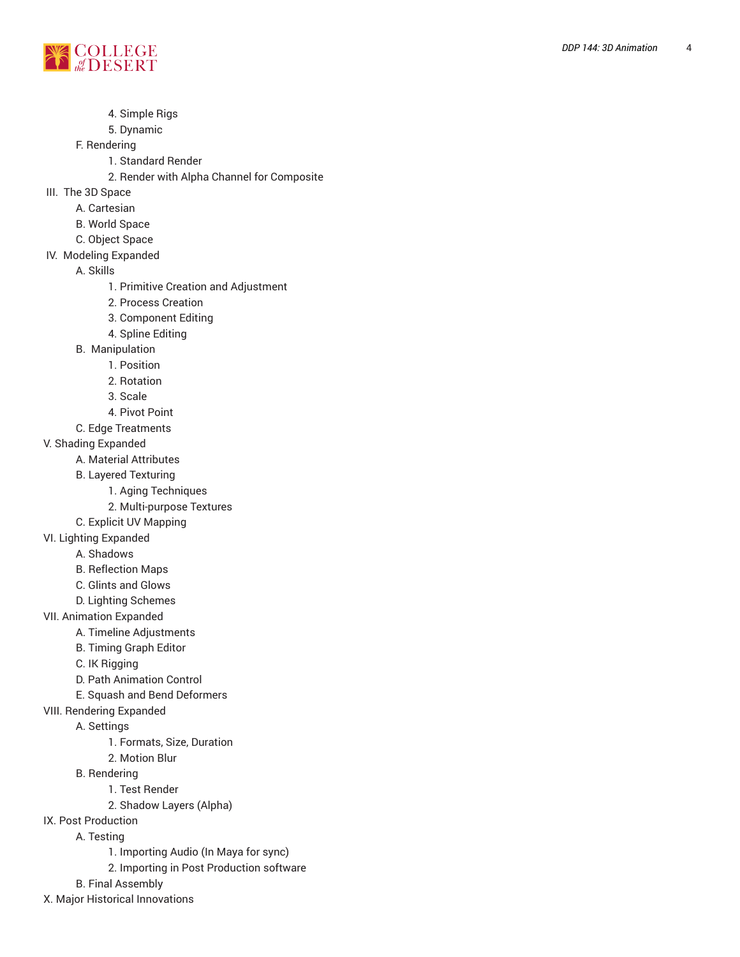

4. Simple Rigs

### 5. Dynamic

F. Rendering

- 1. Standard Render
- 2. Render with Alpha Channel for Composite
- III. The 3D Space
	- A. Cartesian
	- B. World Spa c e
	- C. Object Space
- IV. Modeling Expande d

A. Skills1. <sup>P</sup>

- rimitive Creation and Adjustment
- 2. Process Creation
- 3. Component Editing
- 4. S plin e E ditin g
- B. Manipulation
	- 1. Positio n
	- 2. Rotation
	- 3. Scale
	- 4. Pivot Point
- C. Edge Treatments
- V. Shading Expanded
	- A. Material Attributes
	- B. Layered Texturing
		- 1. Aging Techniques
		- 2. Multi-purpose Textures
	- C. Explicit UV Mapping
- VI. Lighting Expanded
	- A. Shadows
	- B. Reflection Maps
	- C. Glints and Glows
	- D. Lighting Scheme s
- VII. Animation Expanded
	- A. Timeline Adjustments
		- B. Timing Graph Editor
		- C. IK Rigging
		- D. Path Animation Control
		- E. Squash and Bend Deformers
- VIII. Rendering Expanded
	- A. Settings
		- 1. Formats, Size, Duration , ,
		- 2. Motion Blur
	- B. Rendering
		- 1. Test Render
			- 2. Shadow Layers (Alpha)
- IX. Post Production
	- A. Testing
		- 1. Importing Audio (In Maya for sync)
		- 2. Importing in Post Production software
	- B. Final Assembly
- X. Major Historical Innovations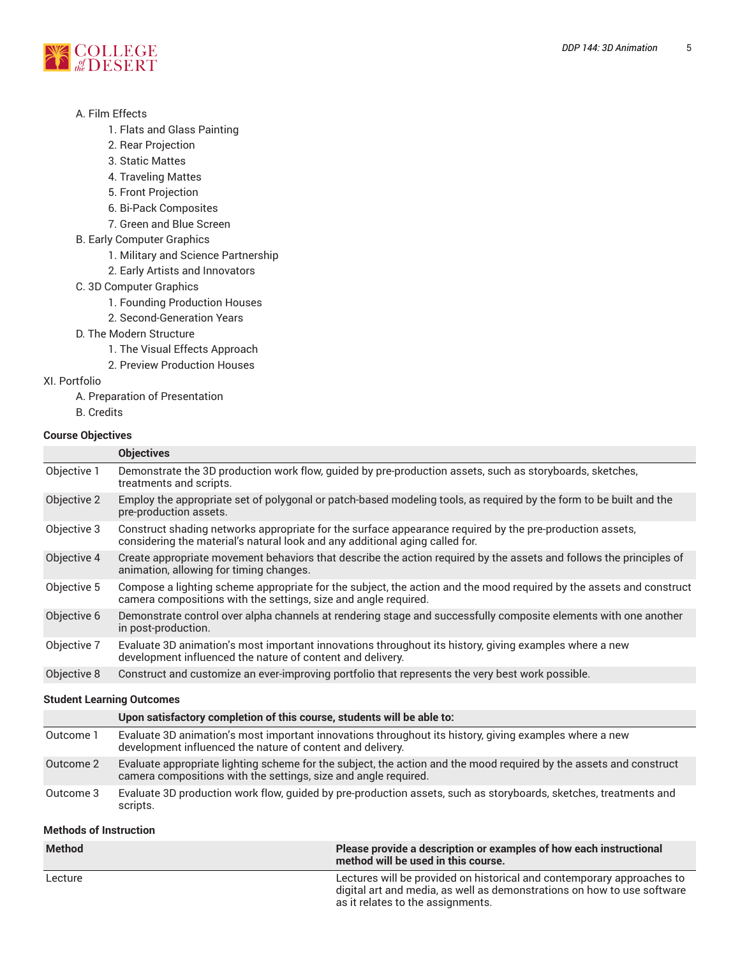

### A. Film Effects

- 1. Flats and Glass Painting
- 2. Rear Projection
- 3. Static Mattes
- 4. Traveling Mattes
- 5. Front Projection
- 6. Bi-Pack Composites
- 7. Green and Blue Screen
- B. Early Computer Graphics
	- 1. Military and Science Partnership
	- 2. Early Artists and Innovators
- C. 3D Computer Graphics
	- 1. Founding Production Houses
	- 2. Second-Generation Years
- D. The Modern Structure
	- 1. The Visual Effects Approach
	- 2. Preview Production Houses

### XI. Portfolio

- A. Preparation of Presentation
- B. Credits

### **Course Objectives**

| <b>Objectives</b>                                                                                                                                                                        |  |  |
|------------------------------------------------------------------------------------------------------------------------------------------------------------------------------------------|--|--|
| Demonstrate the 3D production work flow, guided by pre-production assets, such as storyboards, sketches,<br>treatments and scripts.                                                      |  |  |
| Employ the appropriate set of polygonal or patch-based modeling tools, as required by the form to be built and the<br>pre-production assets.                                             |  |  |
| Construct shading networks appropriate for the surface appearance required by the pre-production assets,<br>considering the material's natural look and any additional aging called for. |  |  |
| Create appropriate movement behaviors that describe the action required by the assets and follows the principles of<br>animation, allowing for timing changes.                           |  |  |
| Compose a lighting scheme appropriate for the subject, the action and the mood required by the assets and construct<br>camera compositions with the settings, size and angle required.   |  |  |
| Demonstrate control over alpha channels at rendering stage and successfully composite elements with one another<br>in post-production.                                                   |  |  |
| Evaluate 3D animation's most important innovations throughout its history, giving examples where a new<br>development influenced the nature of content and delivery.                     |  |  |
| Construct and customize an ever-improving portfolio that represents the very best work possible.                                                                                         |  |  |
| <b>Student Learning Outcomes</b>                                                                                                                                                         |  |  |
| Upon satisfactory completion of this course, students will be able to:                                                                                                                   |  |  |
| Evaluate 3D animation's most important innovations throughout its history, giving examples where a new<br>development influenced the nature of content and delivery.                     |  |  |
|                                                                                                                                                                                          |  |  |

- Outcome 2 Evaluate appropriate lighting scheme for the subject, the action and the mood required by the assets and construct camera compositions with the settings, size and angle required.
- Outcome 3 Evaluate 3D production work flow, guided by pre-production assets, such as storyboards, sketches, treatments and scripts.

### **Methods of Instruction**

| <b>Method</b> | Please provide a description or examples of how each instructional<br>method will be used in this course.                                                                              |
|---------------|----------------------------------------------------------------------------------------------------------------------------------------------------------------------------------------|
| Lecture       | Lectures will be provided on historical and contemporary approaches to<br>digital art and media, as well as demonstrations on how to use software<br>as it relates to the assignments. |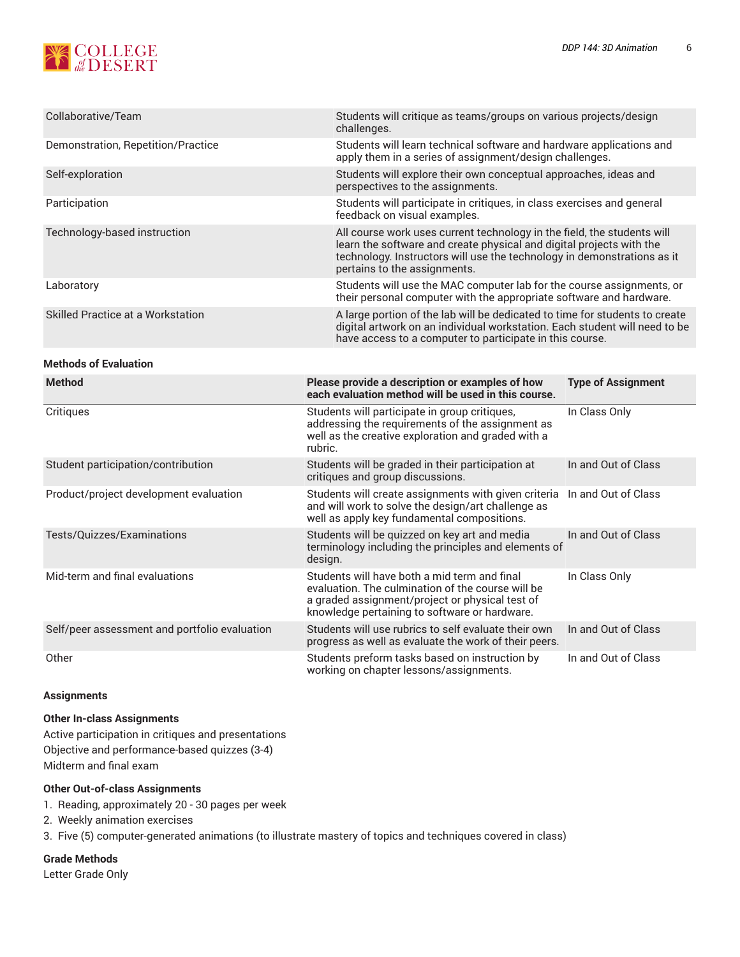

| Collaborative/Team                            | Students will critique as teams/groups on various projects/design<br>challenges.                                                                                                                                                                           |                           |  |
|-----------------------------------------------|------------------------------------------------------------------------------------------------------------------------------------------------------------------------------------------------------------------------------------------------------------|---------------------------|--|
| Demonstration, Repetition/Practice            | Students will learn technical software and hardware applications and<br>apply them in a series of assignment/design challenges.                                                                                                                            |                           |  |
| Self-exploration                              | Students will explore their own conceptual approaches, ideas and<br>perspectives to the assignments.                                                                                                                                                       |                           |  |
| Participation                                 | Students will participate in critiques, in class exercises and general<br>feedback on visual examples.                                                                                                                                                     |                           |  |
| Technology-based instruction                  | All course work uses current technology in the field, the students will<br>learn the software and create physical and digital projects with the<br>technology. Instructors will use the technology in demonstrations as it<br>pertains to the assignments. |                           |  |
| Laboratory                                    | Students will use the MAC computer lab for the course assignments, or<br>their personal computer with the appropriate software and hardware.                                                                                                               |                           |  |
| Skilled Practice at a Workstation             | A large portion of the lab will be dedicated to time for students to create<br>digital artwork on an individual workstation. Each student will need to be<br>have access to a computer to participate in this course.                                      |                           |  |
| <b>Methods of Evaluation</b>                  |                                                                                                                                                                                                                                                            |                           |  |
| <b>Method</b>                                 | Please provide a description or examples of how<br>each evaluation method will be used in this course.                                                                                                                                                     | <b>Type of Assignment</b> |  |
| Critiques                                     | Students will participate in group critiques,<br>addressing the requirements of the assignment as<br>well as the creative exploration and graded with a<br>rubric.                                                                                         | In Class Only             |  |
| Student participation/contribution            | Students will be graded in their participation at<br>critiques and group discussions.                                                                                                                                                                      | In and Out of Class       |  |
| Product/project development evaluation        | Students will create assignments with given criteria<br>and will work to solve the design/art challenge as<br>well as apply key fundamental compositions.                                                                                                  | In and Out of Class       |  |
| Tests/Quizzes/Examinations                    | Students will be quizzed on key art and media<br>terminology including the principles and elements of<br>design.                                                                                                                                           | In and Out of Class       |  |
| Mid-term and final evaluations                | Students will have both a mid term and final<br>evaluation. The culmination of the course will be<br>a graded assignment/project or physical test of<br>knowledge pertaining to software or hardware.                                                      | In Class Only             |  |
| Self/peer assessment and portfolio evaluation | Students will use rubrics to self evaluate their own<br>progress as well as evaluate the work of their peers.                                                                                                                                              | In and Out of Class       |  |
| Other                                         | Students preform tasks based on instruction by<br>working on chapter lessons/assignments.                                                                                                                                                                  | In and Out of Class       |  |

#### **Assignments**

### **Other In-class Assignments**

Active participation in critiques and presentations Objective and performance-based quizzes (3-4) Midterm and final exam

### **Other Out-of-class Assignments**

- 1. Reading, approximately 20 30 pages per week
- 2. Weekly animation exercises
- 3. Five (5) computer-generated animations (to illustrate mastery of topics and techniques covered in class)

**Grade Methods**

Letter Grade Only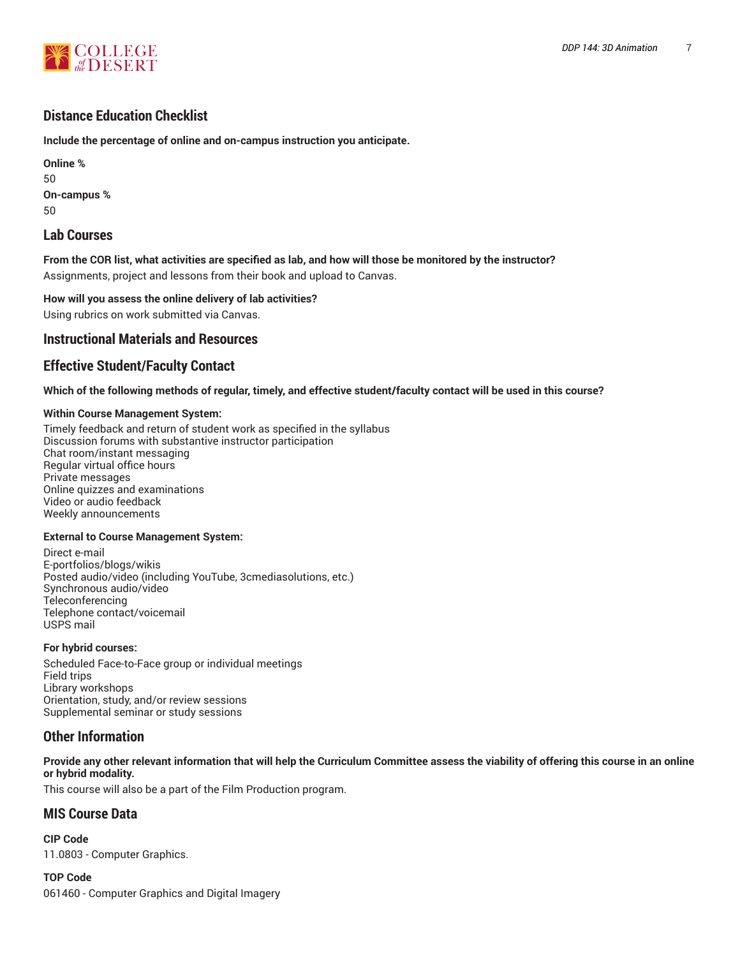

# **Distance Education Checklist**

**Include the percentage of online and on-campus instruction you anticipate.**

**Online %** 50 **On-campus %** 50

# **Lab Courses**

From the COR list, what activities are specified as lab, and how will those be monitored by the instructor? Assignments, project and lessons from their book and upload to Canvas.

**How will you assess the online delivery of lab activities?** Using rubrics on work submitted via Canvas.

# **Instructional Materials and Resources**

# **Effective Student/Faculty Contact**

Which of the following methods of regular, timely, and effective student/faculty contact will be used in this course?

### **Within Course Management System:**

Timely feedback and return of student work as specified in the syllabus Discussion forums with substantive instructor participation Chat room/instant messaging Regular virtual office hours Private messages Online quizzes and examinations Video or audio feedback Weekly announcements

### **External to Course Management System:**

Direct e-mail E-portfolios/blogs/wikis Posted audio/video (including YouTube, 3cmediasolutions, etc.) Synchronous audio/video **Teleconferencing** Telephone contact/voicemail USPS mail

### **For hybrid courses:**

Scheduled Face-to-Face group or individual meetings Field trips Library workshops Orientation, study, and/or review sessions Supplemental seminar or study sessions

# **Other Information**

Provide any other relevant information that will help the Curriculum Committee assess the viability of offering this course in an online **or hybrid modality.**

This course will also be a part of the Film Production program.

# **MIS Course Data**

**CIP Code** 11.0803 - Computer Graphics.

**TOP Code** 061460 - Computer Graphics and Digital Imagery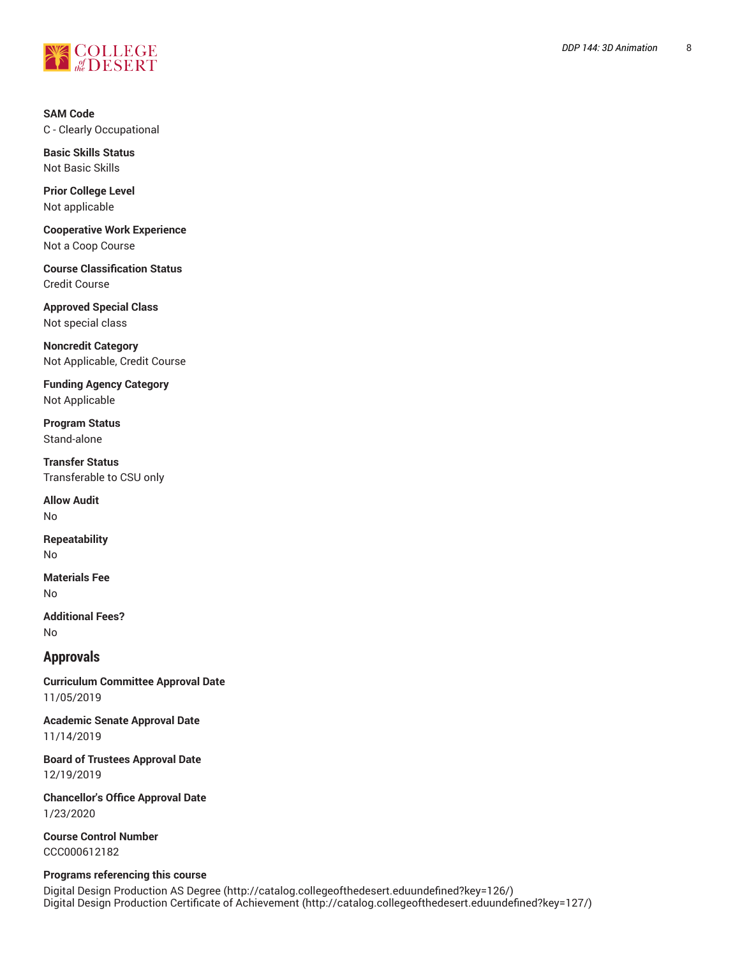

**SAM Code** C - Clearly Occupational

**Basic Skills Status** Not Basic Skills

**Prior College Level** Not applicable

**Cooperative Work Experience** Not a Coop Course

**Course Classification Status** Credit Course

**Approved Special Class** Not special class

**Noncredit Category** Not Applicable, Credit Course

**Funding Agency Category** Not Applicable

**Program Status** Stand-alone

**Transfer Status** Transferable to CSU only

**Allow Audit** No

**Repeatability** No

**Materials Fee** No

**Additional Fees?** No

**Approvals**

**Curriculum Committee Approval Date** 11/05/2019

**Academic Senate Approval Date** 11/14/2019

**Board of Trustees Approval Date** 12/19/2019

**Chancellor's Office Approval Date** 1/23/2020

**Course Control Number** CCC000612182

### **Programs referencing this course**

Digital Design [Production](http://catalog.collegeofthedesert.eduundefined?key=126/) AS Degree [\(http://catalog.collegeofthedesert.eduundefined?key=126/](http://catalog.collegeofthedesert.eduundefined?key=126/)) Digital Design Production Certificate of [Achievement](http://catalog.collegeofthedesert.eduundefined?key=127/) (<http://catalog.collegeofthedesert.eduundefined?key=127/>)